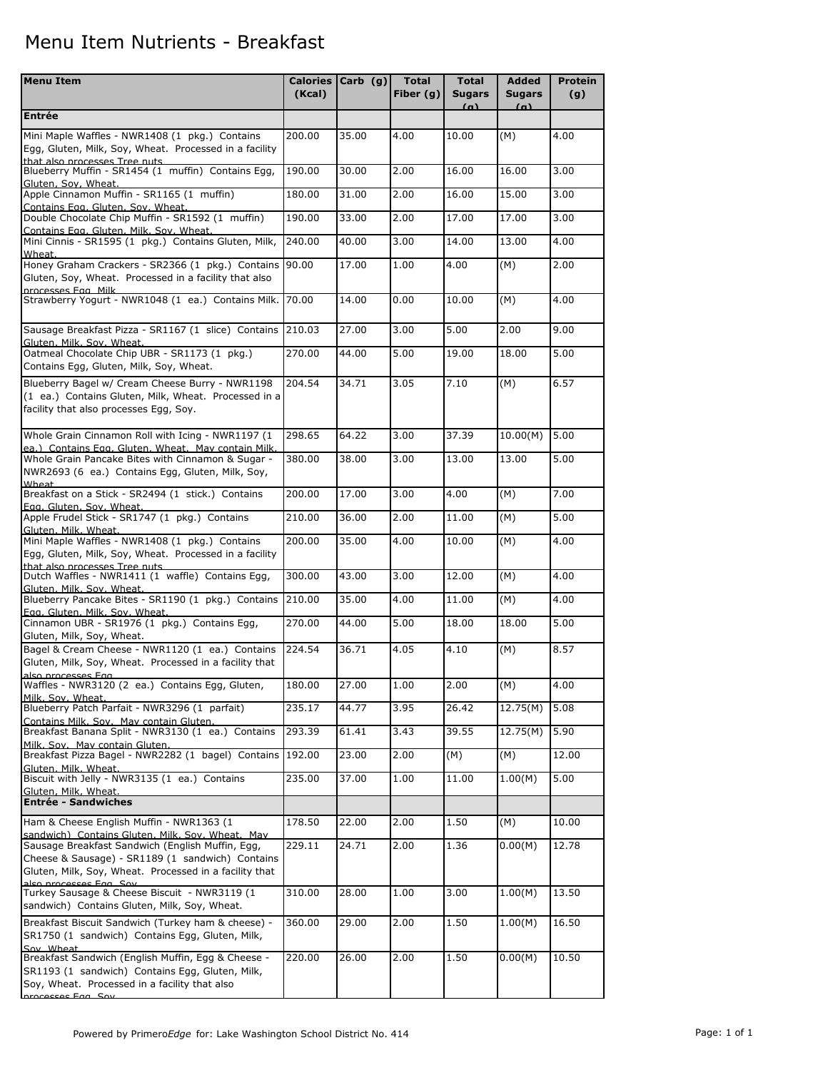## Menu Item Nutrients - Breakfast

| <b>Menu Item</b>                                                                                                                                                                         | <b>Calories</b><br>(Kcal) | Carb $(g)$ | <b>Total</b><br>Fiber $(g)$ | <b>Total</b><br><b>Sugars</b> | <b>Added</b><br><b>Sugars</b> | Protein<br>(g) |
|------------------------------------------------------------------------------------------------------------------------------------------------------------------------------------------|---------------------------|------------|-----------------------------|-------------------------------|-------------------------------|----------------|
| <b>Entrée</b>                                                                                                                                                                            |                           |            |                             | (a)                           | (a)                           |                |
| Mini Maple Waffles - NWR1408 (1 pkg.) Contains<br>Egg, Gluten, Milk, Soy, Wheat. Processed in a facility                                                                                 | 200.00                    | 35.00      | 4.00                        | 10.00                         | (M)                           | 4.00           |
| that also processes Tree nuts<br>Blueberry Muffin - SR1454 (1 muffin) Contains Egg,                                                                                                      | 190.00                    | 30.00      | 2.00                        | 16.00                         | 16.00                         | 3.00           |
| Gluten. Sov. Wheat.<br>Apple Cinnamon Muffin - SR1165 (1 muffin)                                                                                                                         | 180.00                    | 31.00      | 2.00                        | 16.00                         | 15.00                         | 3.00           |
| Contains Egg. Gluten, Sov. Wheat.<br>Double Chocolate Chip Muffin - SR1592 (1 muffin)                                                                                                    | 190.00                    | 33.00      | 2.00                        | 17.00                         | 17.00                         | 3.00           |
| Contains Egg. Gluten. Milk. Sov. Wheat.<br>Mini Cinnis - SR1595 (1 pkg.) Contains Gluten, Milk,                                                                                          | 240.00                    | 40.00      | 3.00                        | 14.00                         | 13.00                         | 4.00           |
| Wheat.<br>Honey Graham Crackers - SR2366 (1 pkg.) Contains<br>Gluten, Soy, Wheat. Processed in a facility that also<br>processes Egg. Milk                                               | 90.00                     | 17.00      | 1.00                        | 4.00                          | (M)                           | 2.00           |
| Strawberry Yogurt - NWR1048 (1 ea.) Contains Milk.                                                                                                                                       | 70.00                     | 14.00      | 0.00                        | 10.00                         | (M)                           | 4.00           |
| Sausage Breakfast Pizza - SR1167 (1 slice) Contains<br>Gluten, Milk, Sov, Wheat.                                                                                                         | 210.03                    | 27.00      | 3.00                        | 5.00                          | 2.00                          | 9.00           |
| Oatmeal Chocolate Chip UBR - SR1173 (1 pkg.)<br>Contains Egg, Gluten, Milk, Soy, Wheat.                                                                                                  | 270.00                    | 44.00      | 5.00                        | 19.00                         | 18.00                         | 5.00           |
| Blueberry Bagel w/ Cream Cheese Burry - NWR1198<br>(1 ea.) Contains Gluten, Milk, Wheat. Processed in a<br>facility that also processes Egg, Soy.                                        | 204.54                    | 34.71      | 3.05                        | 7.10                          | (M)                           | 6.57           |
| Whole Grain Cinnamon Roll with Icing - NWR1197 (1<br>ea.) Contains Egg. Gluten, Wheat. May contain Milk.                                                                                 | 298.65                    | 64.22      | 3.00                        | 37.39                         | 10.00(M)                      | 5.00           |
| Whole Grain Pancake Bites with Cinnamon & Sugar -<br>NWR2693 (6 ea.) Contains Egg, Gluten, Milk, Soy,<br><b>Wheat</b>                                                                    | 380.00                    | 38.00      | 3.00                        | 13.00                         | 13.00                         | 5.00           |
| Breakfast on a Stick - SR2494 (1 stick.) Contains<br>Egg. Gluten, Sov. Wheat.                                                                                                            | 200.00                    | 17.00      | 3.00                        | 4.00                          | (M)                           | 7.00           |
| Apple Frudel Stick - SR1747 (1 pkg.) Contains<br>Gluten, Milk, Wheat.                                                                                                                    | 210.00                    | 36.00      | 2.00                        | 11.00                         | (M)                           | 5.00           |
| Mini Maple Waffles - NWR1408 (1 pkg.) Contains<br>Egg, Gluten, Milk, Soy, Wheat. Processed in a facility<br>that also processes Tree nuts                                                | 200.00                    | 35.00      | 4.00                        | 10.00                         | (M)                           | 4.00           |
| Dutch Waffles - NWR1411 (1 waffle) Contains Egg,<br>Gluten. Milk. Sov. Wheat.                                                                                                            | 300.00                    | 43.00      | 3.00                        | 12.00                         | (M)                           | 4.00           |
| Blueberry Pancake Bites - SR1190 (1 pkg.) Contains<br>Egg. Gluten. Milk. Sov. Wheat.                                                                                                     | 210.00                    | 35.00      | 4.00                        | 11.00                         | (M)                           | 4.00           |
| Cinnamon UBR - SR1976 (1 pkg.) Contains Egg,<br>Gluten, Milk, Soy, Wheat.                                                                                                                | 270.00                    | 44.00      | 5.00                        | 18.00                         | 18.00                         | 5.00           |
| Bagel & Cream Cheese - NWR1120 (1 ea.) Contains<br>Gluten, Milk, Soy, Wheat. Processed in a facility that<br>also processes Egg                                                          | 224.54                    | 36.71      | 4.05                        | 4.10                          | (M)                           | 8.57           |
| Waffles - NWR3120 (2 ea.) Contains Egg, Gluten,<br>Milk. Sov. Wheat.                                                                                                                     | 180.00                    | 27.00      | 1.00                        | 2.00                          | (M)                           | 4.00           |
| Blueberry Patch Parfait - NWR3296 (1 parfait)<br>Contains Milk. Sov. May contain Gluten.                                                                                                 | 235.17                    | 44.77      | 3.95                        | 26.42                         | 12.75(M)                      | 5.08           |
| Breakfast Banana Split - NWR3130 (1 ea.) Contains<br>Milk, Sov. May contain Gluten.                                                                                                      | 293.39                    | 61.41      | 3.43                        | 39.55                         | 12.75(M)                      | 5.90           |
| Breakfast Pizza Bagel - NWR2282 (1 bagel) Contains<br>Gluten, Milk, Wheat.                                                                                                               | 192.00                    | 23.00      | $\overline{2.00}$           | (M)                           | (M)                           | 12.00          |
| Biscuit with Jelly - NWR3135 (1 ea.) Contains<br>Gluten, Milk, Wheat.                                                                                                                    | 235.00                    | 37.00      | 1.00                        | 11.00                         | 1.00(M)                       | 5.00           |
| <b>Entrée - Sandwiches</b>                                                                                                                                                               |                           |            |                             |                               |                               |                |
| Ham & Cheese English Muffin - NWR1363 (1<br>sandwich) Contains Gluten, Milk, Sov. Wheat, May                                                                                             | 178.50                    | 22.00      | 2.00                        | 1.50                          | (M)                           | 10.00          |
| Sausage Breakfast Sandwich (English Muffin, Egg,<br>Cheese & Sausage) - SR1189 (1 sandwich) Contains<br>Gluten, Milk, Soy, Wheat. Processed in a facility that<br>alco processos Egg Sov | 229.11                    | 24.71      | 2.00                        | 1.36                          | 0.00(M)                       | 12.78          |
| Turkey Sausage & Cheese Biscuit - NWR3119 (1<br>sandwich) Contains Gluten, Milk, Soy, Wheat.                                                                                             | 310.00                    | 28.00      | $\overline{1.00}$           | 3.00                          | 1.00(M)                       | 13.50          |
| Breakfast Biscuit Sandwich (Turkey ham & cheese) -<br>SR1750 (1 sandwich) Contains Egg, Gluten, Milk,<br>Soy Wheat                                                                       | 360.00                    | 29.00      | 2.00                        | 1.50                          | 1.00(M)                       | 16.50          |
| Breakfast Sandwich (English Muffin, Egg & Cheese -<br>SR1193 (1 sandwich) Contains Egg, Gluten, Milk,<br>Soy, Wheat. Processed in a facility that also<br>processes Fag. Sev.            | 220.00                    | 26.00      | $\overline{2.00}$           | 1.50                          | 0.00(M)                       | 10.50          |